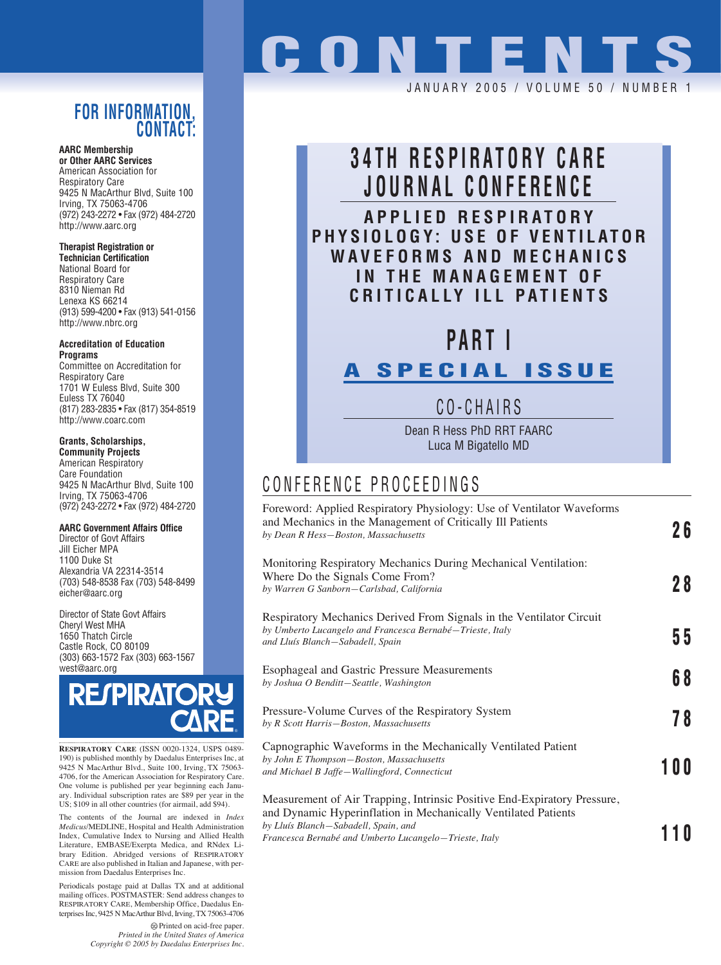### **FOR INFORMATION, CONTACT:**

**AARC Membership or Other AARC Services**

American Association for Respiratory Care 9425 N MacArthur Blvd, Suite 100 Irving, TX 75063-4706 (972) 243-2272 • Fax (972) 484-2720 http://www.aarc.org

#### **Therapist Registration or**

**Technician Certification** National Board for Respiratory Care 8310 Nieman Rd Lenexa KS 66214 (913) 599-4200 • Fax (913) 541-0156 http://www.nbrc.org

**Accreditation of Education Programs** Committee on Accreditation for

Respiratory Care 1701 W Euless Blvd, Suite 300 Euless TX 76040 (817) 283-2835 • Fax (817) 354-8519 http://www.coarc.com

### **Grants, Scholarships,**

**Community Projects** American Respiratory Care Foundation 9425 N MacArthur Blvd, Suite 100 Irving, TX 75063-4706 (972) 243-2272 • Fax (972) 484-2720

#### **AARC Government Affairs Office**

Director of Govt Affairs Jill Eicher MPA 1100 Duke St Alexandria VA 22314-3514 (703) 548-8538 Fax (703) 548-8499 eicher@aarc.org

Director of State Govt Affairs Cheryl West MHA 1650 Thatch Circle Castle Rock, CO 80109 (303) 663-1572 Fax (303) 663-1567 west@aarc.org



**RESPIRATORY CARE** (ISSN 0020-1324, USPS 0489- 190) is published monthly by Daedalus Enterprises Inc, at 9425 N MacArthur Blvd., Suite 100, Irving, TX 75063- 4706, for the American Association for Respiratory Care. One volume is published per year beginning each Janu-ary. Individual subscription rates are \$89 per year in the US; \$109 in all other countries (for airmail, add \$94).

The contents of the Journal are indexed in *Index Medicus*/MEDLINE, Hospital and Health Administration Index, Cumulative Index to Nursing and Allied Health Literature, EMBASE/Exerpta Medica, and RNdex Library Edition. Abridged versions of RESPIRATORY CARE are also published in Italian and Japanese, with permission from Daedalus Enterprises Inc.

Periodicals postage paid at Dallas TX and at additional mailing offices. POSTMASTER: Send address changes to RESPIRATORY CARE, Membership Office, Daedalus Enterprises Inc, 9425 N MacArthur Blvd, Irving, TX 75063-4706

> Printed on acid-free paper. *Printed in the United States of America Copyright © 2005 by Daedalus Enterprises Inc.*

# **CONTENTS** JANUARY 2005 / VOLUME 50 / NUMBE

# **34TH RESPIRATORY CARE JOURNAL CONFERENCE APPLIED RESPIRATORY PHYSIOLOGY: USE OF VENTILATOR**

**WAVEFORMS AND MECHANICS IN THE MANAGEMENT OF CRITICALLY ILL PATIENTS**

# **PART I**

### **A SPECIAL ISSUE**

CO-CHAIRS

Dean R Hess PhD RRT FAARC Luca M Bigatello MD

## CONFERENCE PROCEEDINGS

| Foreword: Applied Respiratory Physiology: Use of Ventilator Waveforms<br>and Mechanics in the Management of Critically Ill Patients<br>by Dean R Hess-Boston, Massachusetts                                                                  | 26  |
|----------------------------------------------------------------------------------------------------------------------------------------------------------------------------------------------------------------------------------------------|-----|
| Monitoring Respiratory Mechanics During Mechanical Ventilation:<br>Where Do the Signals Come From?<br>by Warren G Sanborn-Carlsbad, California                                                                                               | 28  |
| Respiratory Mechanics Derived From Signals in the Ventilator Circuit<br>by Umberto Lucangelo and Francesca Bernabé-Trieste, Italy<br>and Lluís Blanch-Sabadell, Spain                                                                        | 55  |
| <b>Esophageal and Gastric Pressure Measurements</b><br>by Joshua O Benditt-Seattle, Washington                                                                                                                                               | 68  |
| Pressure-Volume Curves of the Respiratory System<br>by R Scott Harris-Boston, Massachusetts                                                                                                                                                  | 78  |
| Capnographic Waveforms in the Mechanically Ventilated Patient<br>by John E Thompson-Boston, Massachusetts<br>and Michael B Jaffe-Wallingford, Connecticut                                                                                    | 100 |
| Measurement of Air Trapping, Intrinsic Positive End-Expiratory Pressure,<br>and Dynamic Hyperinflation in Mechanically Ventilated Patients<br>by Lluís Blanch-Sabadell, Spain, and<br>Francesca Bernabé and Umberto Lucangelo-Trieste, Italy |     |